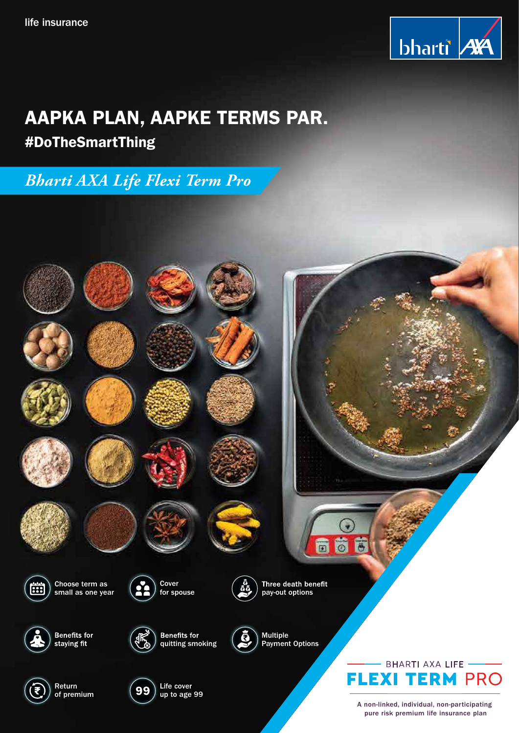

# AAPKA PLAN, AAPKE TERMS PAR.

# #DoTheSmartThing

*Bharti AXA Life Flexi Term Pro*



A non-linked, individual, non-participating pure risk premium life insurance plan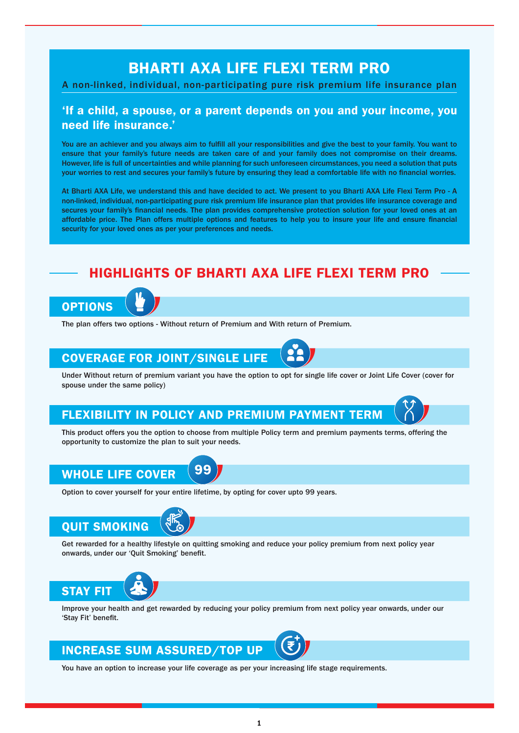# BHARTI AXA LIFE FLEXI TERM PRO

### A non-linked, individual, non-participating pure risk premium life insurance plan

### 'If a child, a spouse, or a parent depends on you and your income, you need life insurance.'

You are an achiever and you always aim to fulfill all your responsibilities and give the best to your family. You want to ensure that your family's future needs are taken care of and your family does not compromise on their dreams. However, life is full of uncertainties and while planning for such unforeseen circumstances, you need a solution that puts your worries to rest and secures your family's future by ensuring they lead a comfortable life with no financial worries.

At Bharti AXA Life, we understand this and have decided to act. We present to you Bharti AXA Life Flexi Term Pro - A non-linked, individual, non-participating pure risk premium life insurance plan that provides life insurance coverage and secures your family's financial needs. The plan provides comprehensive protection solution for your loved ones at an affordable price. The Plan offers multiple options and features to help you to insure your life and ensure financial security for your loved ones as per your preferences and needs.

## HIGHLIGHTS OF BHARTI AXA LIFE FLEXI TERM PRO



The plan offers two options - Without return of Premium and With return of Premium.

# COVERAGE FOR JOINT/SINGLE LIFE

Under Without return of premium variant you have the option to opt for single life cover or Joint Life Cover (cover for spouse under the same policy)

### FLEXIBILITY IN POLICY AND PREMIUM PAYMENT TERM

This product offers you the option to choose from multiple Policy term and premium payments terms, offering the opportunity to customize the plan to suit your needs.

#### 99 WHOLE LIFE COVER

Option to cover yourself for your entire lifetime, by opting for cover upto 99 years.



Get rewarded for a healthy lifestyle on quitting smoking and reduce your policy premium from next policy year onwards, under our 'Quit Smoking' benefit.



Improve your health and get rewarded by reducing your policy premium from next policy year onwards, under our 'Stay Fit' benefit.

### INCREASE SUM ASSURED/TOP UP

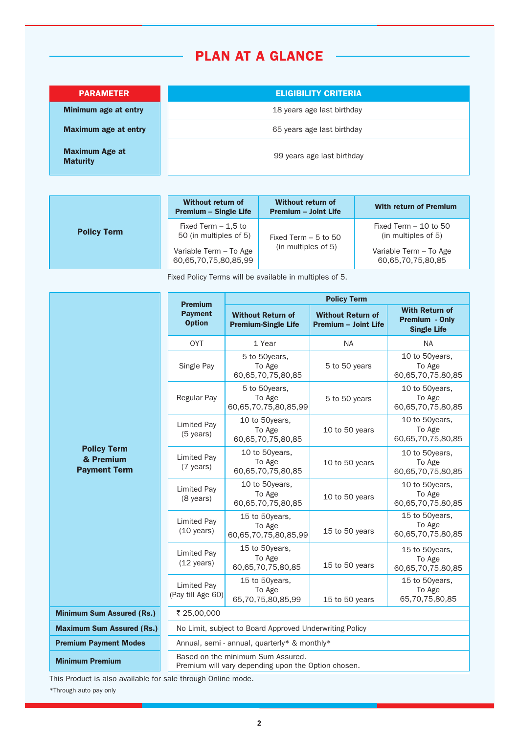# PLAN AT A GLANCE

Minimum age at entry

Maximum age at entry

Maximum Age at **Maturity** 

**PARAMETER ELIGIBILITY CRITERIA** 

18 years age last birthday

65 years age last birthday

99 years age last birthday

| <b>Policy Term</b> | Without return of<br><b>Premium - Single Life</b> | Without return of<br><b>Premium - Joint Life</b> | <b>With return of Premium</b>                 |
|--------------------|---------------------------------------------------|--------------------------------------------------|-----------------------------------------------|
|                    | Fixed Term $-1.5$ to<br>50 (in multiples of 5)    | Fixed Term $-5$ to 50                            | Fixed Term $-10$ to 50<br>(in multiples of 5) |
|                    | Variable Term - To Age<br>60,65,70,75,80,85,99    | (in multiples of 5)                              | Variable Term - To Age<br>60,65,70,75,80,85   |

Fixed Policy Terms will be available in multiples of 5.

|                                                        | <b>Premium</b>                                                                           | <b>Policy Term</b>                                     |                                                         |                                                               |  |
|--------------------------------------------------------|------------------------------------------------------------------------------------------|--------------------------------------------------------|---------------------------------------------------------|---------------------------------------------------------------|--|
|                                                        | <b>Payment</b><br><b>Option</b>                                                          | <b>Without Return of</b><br><b>Premium-Single Life</b> | <b>Without Return of</b><br><b>Premium - Joint Life</b> | <b>With Return of</b><br>Premium - Only<br><b>Single Life</b> |  |
|                                                        | <b>OYT</b>                                                                               | 1 Year                                                 | <b>NA</b>                                               | <b>NA</b>                                                     |  |
|                                                        | Single Pay                                                                               | 5 to 50years,<br>To Age<br>60,65,70,75,80,85           | 5 to 50 years                                           | 10 to 50years,<br>To Age<br>60,65,70,75,80,85                 |  |
| <b>Policy Term</b><br>& Premium<br><b>Payment Term</b> | <b>Regular Pay</b>                                                                       | 5 to 50 years.<br>To Age<br>60,65,70,75,80,85,99       | 5 to 50 years                                           | 10 to 50years.<br>To Age<br>60,65,70,75,80,85                 |  |
|                                                        | Limited Pay<br>$(5 \text{ years})$                                                       | 10 to 50years,<br>To Age<br>60,65,70,75,80,85          | 10 to 50 years                                          | 10 to 50years,<br>To Age<br>60,65,70,75,80,85                 |  |
|                                                        | <b>Limited Pay</b><br>(7 years)                                                          | 10 to 50years,<br>To Age<br>60,65,70,75,80,85          | 10 to 50 years                                          | 10 to 50years,<br>To Age<br>60,65,70,75,80,85                 |  |
|                                                        | <b>Limited Pay</b><br>(8 years)                                                          | 10 to 50years,<br>To Age<br>60,65,70,75,80,85          | 10 to 50 years                                          | 10 to 50years,<br>To Age<br>60,65,70,75,80,85                 |  |
|                                                        | <b>Limited Pay</b><br>$(10 \text{ years})$                                               | 15 to 50years,<br>To Age<br>60,65,70,75,80,85,99       | 15 to 50 years                                          | 15 to 50years,<br>To Age<br>60,65,70,75,80,85                 |  |
|                                                        | <b>Limited Pay</b><br>$(12 \text{ years})$                                               | 15 to 50years,<br>To Age<br>60,65,70,75,80,85          | 15 to 50 years                                          | 15 to 50years,<br>To Age<br>60,65,70,75,80,85                 |  |
|                                                        | <b>Limited Pay</b><br>(Pay till Age 60)                                                  | 15 to 50years,<br>To Age<br>65,70,75,80,85,99          | 15 to 50 years                                          | 15 to 50years,<br>To Age<br>65,70,75,80,85                    |  |
| <b>Minimum Sum Assured (Rs.)</b>                       | ₹ 25,00,000                                                                              |                                                        |                                                         |                                                               |  |
| <b>Maximum Sum Assured (Rs.)</b>                       | No Limit, subject to Board Approved Underwriting Policy                                  |                                                        |                                                         |                                                               |  |
| <b>Premium Payment Modes</b>                           | Annual, semi - annual, quarterly* & monthly*                                             |                                                        |                                                         |                                                               |  |
| <b>Minimum Premium</b>                                 | Based on the minimum Sum Assured.<br>Premium will vary depending upon the Option chosen. |                                                        |                                                         |                                                               |  |

This Product is also available for sale through Online mode.

\*Through auto pay only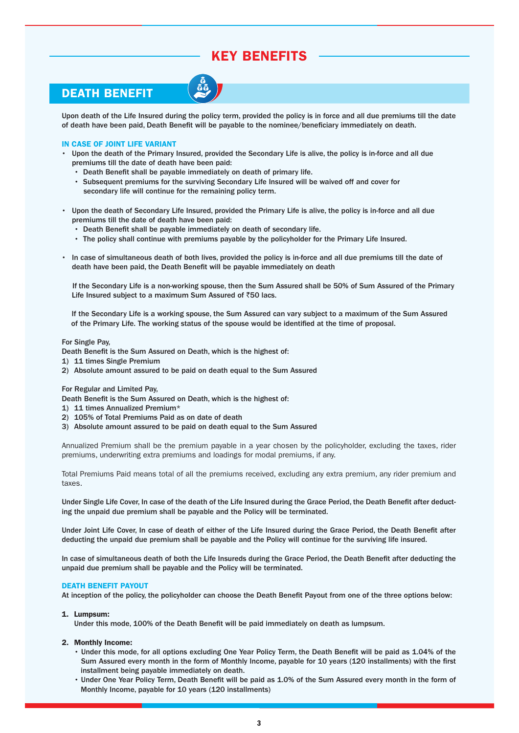# KEY BENEFITS

### DEATH BENEFIT

Upon death of the Life Insured during the policy term, provided the policy is in force and all due premiums till the date of death have been paid, Death Benefit will be payable to the nominee/beneficiary immediately on death.

### IN CASE OF JOINT LIFE VARIANT

- Upon the death of the Primary Insured, provided the Secondary Life is alive, the policy is in-force and all due premiums till the date of death have been paid:
	- Death Benefit shall be payable immediately on death of primary life.
	- Subsequent premiums for the surviving Secondary Life Insured will be waived off and cover for secondary life will continue for the remaining policy term.
- Upon the death of Secondary Life Insured, provided the Primary Life is alive, the policy is in-force and all due premiums till the date of death have been paid:
	- **Death Benefit shall be payable immediately on death of secondary life.**
	- The policy shall continue with premiums payable by the policyholder for the Primary Life Insured.
- In case of simultaneous death of both lives, provided the policy is in-force and all due premiums till the date of death have been paid, the Death Benefit will be payable immediately on death

If the Secondary Life is a non-working spouse, then the Sum Assured shall be 50% of Sum Assured of the Primary Life Insured subject to a maximum Sum Assured of  $\bar{z}50$  lacs.

 If the Secondary Life is a working spouse, the Sum Assured can vary subject to a maximum of the Sum Assured of the Primary Life. The working status of the spouse would be identified at the time of proposal.

### For Single Pay,

- Death Benefit is the Sum Assured on Death, which is the highest of:
- 1) 11 times Single Premium
- 2) Absolute amount assured to be paid on death equal to the Sum Assured

### For Regular and Limited Pay,

- Death Benefit is the Sum Assured on Death, which is the highest of:
- 1) 11 times Annualized Premium\*
- 2) 105% of Total Premiums Paid as on date of death
- 3) Absolute amount assured to be paid on death equal to the Sum Assured

Annualized Premium shall be the premium payable in a year chosen by the policyholder, excluding the taxes, rider premiums, underwriting extra premiums and loadings for modal premiums, if any.

Total Premiums Paid means total of all the premiums received, excluding any extra premium, any rider premium and taxes.

Under Single Life Cover, In case of the death of the Life Insured during the Grace Period, the Death Benefit after deducting the unpaid due premium shall be payable and the Policy will be terminated.

Under Joint Life Cover, In case of death of either of the Life Insured during the Grace Period, the Death Benefit after deducting the unpaid due premium shall be payable and the Policy will continue for the surviving life insured.

In case of simultaneous death of both the Life Insureds during the Grace Period, the Death Benefit after deducting the unpaid due premium shall be payable and the Policy will be terminated.

### DEATH BENEFIT PAYOUT

At inception of the policy, the policyholder can choose the Death Benefit Payout from one of the three options below:

### 1. Lumpsum:

Under this mode, 100% of the Death Benefit will be paid immediately on death as lumpsum.

### 2. Monthly Income:

- Under this mode, for all options excluding One Year Policy Term, the Death Benefit will be paid as 1.04% of the Sum Assured every month in the form of Monthly Income, payable for 10 years (120 installments) with the first installment being payable immediately on death.
- Under One Year Policy Term, Death Benefit will be paid as 1.0% of the Sum Assured every month in the form of Monthly Income, payable for 10 years (120 installments)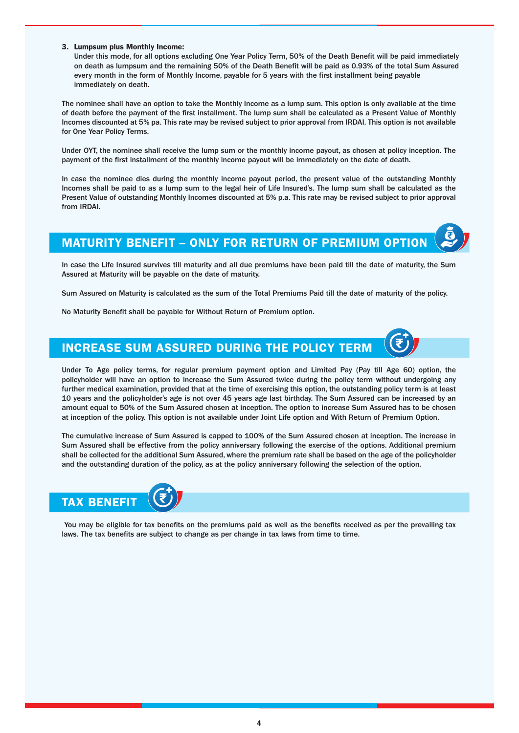### 3. Lumpsum plus Monthly Income:

Under this mode, for all options excluding One Year Policy Term, 50% of the Death Benefit will be paid immediately on death as lumpsum and the remaining 50% of the Death Benefit will be paid as 0.93% of the total Sum Assured every month in the form of Monthly Income, payable for 5 years with the first installment being payable immediately on death.

The nominee shall have an option to take the Monthly Income as a lump sum. This option is only available at the time of death before the payment of the first installment. The lump sum shall be calculated as a Present Value of Monthly Incomes discounted at 5% pa. This rate may be revised subject to prior approval from IRDAI. This option is not available for One Year Policy Terms.

Under OYT, the nominee shall receive the lump sum or the monthly income payout, as chosen at policy inception. The payment of the first installment of the monthly income payout will be immediately on the date of death.

In case the nominee dies during the monthly income payout period, the present value of the outstanding Monthly Incomes shall be paid to as a lump sum to the legal heir of Life Insured's. The lump sum shall be calculated as the Present Value of outstanding Monthly Incomes discounted at 5% p.a. This rate may be revised subject to prior approval from IRDAI.

### MATURITY BENEFIT – ONLY FOR RETURN OF PREMIUM OPTION

In case the Life Insured survives till maturity and all due premiums have been paid till the date of maturity, the Sum Assured at Maturity will be payable on the date of maturity.

Sum Assured on Maturity is calculated as the sum of the Total Premiums Paid till the date of maturity of the policy.

No Maturity Benefit shall be payable for Without Return of Premium option.

# INCREASE SUM ASSURED DURING THE POLICY TERM

Under To Age policy terms, for regular premium payment option and Limited Pay (Pay till Age 60) option, the policyholder will have an option to increase the Sum Assured twice during the policy term without undergoing any further medical examination, provided that at the time of exercising this option, the outstanding policy term is at least 10 years and the policyholder's age is not over 45 years age last birthday. The Sum Assured can be increased by an amount equal to 50% of the Sum Assured chosen at inception. The option to increase Sum Assured has to be chosen at inception of the policy. This option is not available under Joint Life option and With Return of Premium Option.

The cumulative increase of Sum Assured is capped to 100% of the Sum Assured chosen at inception. The increase in Sum Assured shall be effective from the policy anniversary following the exercise of the options. Additional premium shall be collected for the additional Sum Assured, where the premium rate shall be based on the age of the policyholder and the outstanding duration of the policy, as at the policy anniversary following the selection of the option.



You may be eligible for tax benefits on the premiums paid as well as the benefits received as per the prevailing tax laws. The tax benefits are subject to change as per change in tax laws from time to time.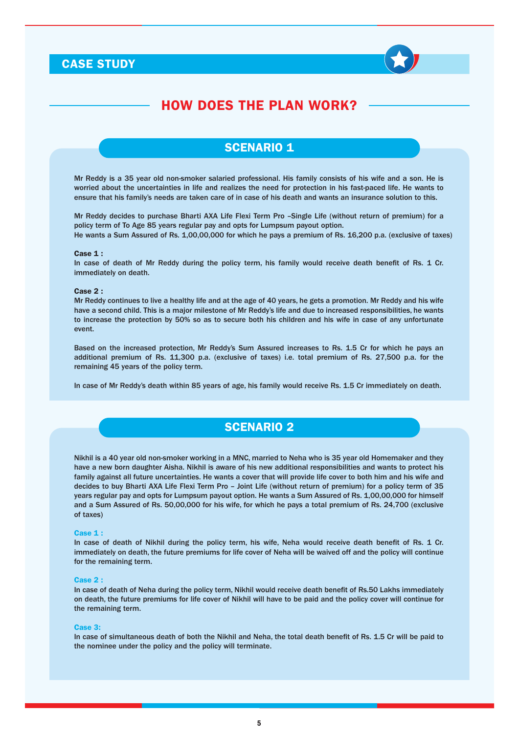### CASE STUDY



### HOW DOES THE PLAN WORK?

### **SCENARIO 1**

Mr Reddy is a 35 year old non-smoker salaried professional. His family consists of his wife and a son. He is worried about the uncertainties in life and realizes the need for protection in his fast-paced life. He wants to ensure that his family's needs are taken care of in case of his death and wants an insurance solution to this.

Mr Reddy decides to purchase Bharti AXA Life Flexi Term Pro –Single Life (without return of premium) for a policy term of To Age 85 years regular pay and opts for Lumpsum payout option.

He wants a Sum Assured of Rs. 1,00,00,000 for which he pays a premium of Rs. 16,200 p.a. (exclusive of taxes)

### Case 1 :

In case of death of Mr Reddy during the policy term, his family would receive death benefit of Rs. 1 Cr. immediately on death.

#### Case 2 :

Mr Reddy continues to live a healthy life and at the age of 40 years, he gets a promotion. Mr Reddy and his wife have a second child. This is a major milestone of Mr Reddy's life and due to increased responsibilities, he wants to increase the protection by 50% so as to secure both his children and his wife in case of any unfortunate event.

Based on the increased protection, Mr Reddy's Sum Assured increases to Rs. 1.5 Cr for which he pays an additional premium of Rs. 11,300 p.a. (exclusive of taxes) i.e. total premium of Rs. 27,500 p.a. for the remaining 45 years of the policy term.

In case of Mr Reddy's death within 85 years of age, his family would receive Rs. 1.5 Cr immediately on death.

### SCENARIO 2

Nikhil is a 40 year old non-smoker working in a MNC, married to Neha who is 35 year old Homemaker and they have a new born daughter Aisha. Nikhil is aware of his new additional responsibilities and wants to protect his family against all future uncertainties. He wants a cover that will provide life cover to both him and his wife and decides to buy Bharti AXA Life Flexi Term Pro – Joint Life (without return of premium) for a policy term of 35 years regular pay and opts for Lumpsum payout option. He wants a Sum Assured of Rs. 1,00,00,000 for himself and a Sum Assured of Rs. 50,00,000 for his wife, for which he pays a total premium of Rs. 24,700 (exclusive of taxes)

#### Case 1 :

In case of death of Nikhil during the policy term, his wife, Neha would receive death benefit of Rs. 1 Cr. immediately on death, the future premiums for life cover of Neha will be waived off and the policy will continue for the remaining term.

#### Case 2 :

In case of death of Neha during the policy term, Nikhil would receive death benefit of Rs.50 Lakhs immediately on death, the future premiums for life cover of Nikhil will have to be paid and the policy cover will continue for the remaining term.

#### Case 3:

In case of simultaneous death of both the Nikhil and Neha, the total death benefit of Rs. 1.5 Cr will be paid to the nominee under the policy and the policy will terminate.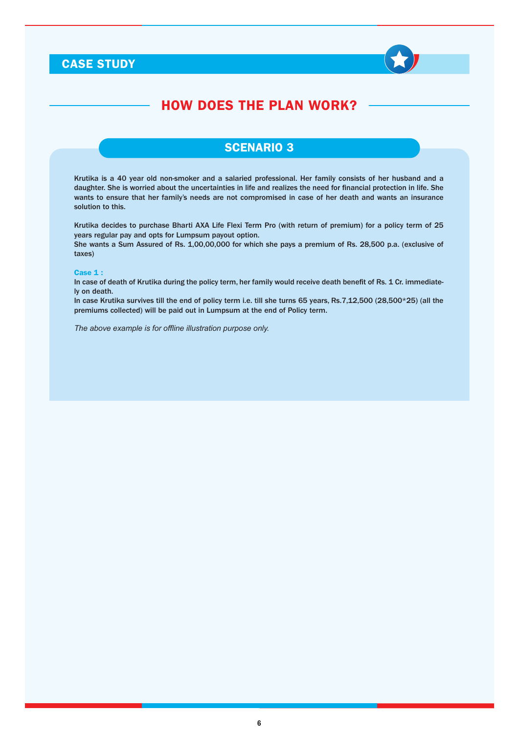### CASE STUDY



# HOW DOES THE PLAN WORK?

### SCENARIO 3

Krutika is a 40 year old non-smoker and a salaried professional. Her family consists of her husband and a daughter. She is worried about the uncertainties in life and realizes the need for financial protection in life. She wants to ensure that her family's needs are not compromised in case of her death and wants an insurance solution to this.

Krutika decides to purchase Bharti AXA Life Flexi Term Pro (with return of premium) for a policy term of 25 years regular pay and opts for Lumpsum payout option.

She wants a Sum Assured of Rs. 1,00,00,000 for which she pays a premium of Rs. 28,500 p.a. (exclusive of taxes)

### Case 1 :

In case of death of Krutika during the policy term, her family would receive death benefit of Rs. 1 Cr. immediately on death.

In case Krutika survives till the end of policy term i.e. till she turns 65 years, Rs.7,12,500 (28,500\*25) (all the premiums collected) will be paid out in Lumpsum at the end of Policy term.

*The above example is for offline illustration purpose only.*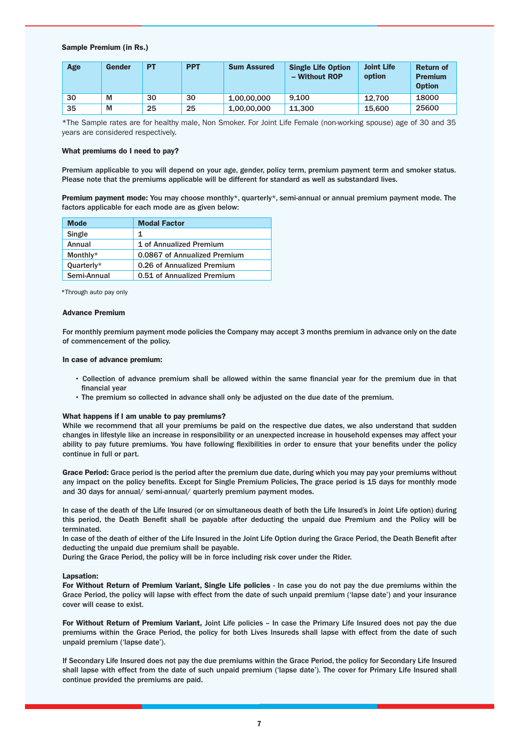### Sample Premium (in Rs.)

| Age | Gender | <b>PT</b> | <b>PPT</b> | <b>Sum Assured</b> | <b>Single Life Option</b><br>- Without ROP | <b>Joint Life</b><br>option | <b>Return of</b><br><b>Premium</b><br><b>Option</b> |
|-----|--------|-----------|------------|--------------------|--------------------------------------------|-----------------------------|-----------------------------------------------------|
| 30  | M      | 30        | 30         | 1.00.00.000        | 9.100                                      | 12.700                      | 18000                                               |
| 35  | M      | 25        | 25         | 1.00.00.000        | 11.300                                     | 15,600                      | 25600                                               |

\*The Sample rates are for healthy male, Non Smoker. For Joint Life Female (non-working spouse) age of 30 and 35 years are considered respectively.

### What premiums do I need to pay?

Premium applicable to you will depend on your age, gender, policy term, premium payment term and smoker status. Please note that the premiums applicable will be different for standard as well as substandard lives.

Premium payment mode: You may choose monthly\*, quarterly\*, semi-annual or annual premium payment mode. The factors applicable for each mode are as given below:

| <b>Mode</b> | <b>Modal Factor</b>          |
|-------------|------------------------------|
| Single      | 1.                           |
| Annual      | 1 of Annualized Premium      |
| Monthly*    | 0.0867 of Annualized Premium |
| Quarterly*  | 0.26 of Annualized Premium   |
| Semi-Annual | 0.51 of Annualized Premium   |

\*Through auto pay only

### Advance Premium

For monthly premium payment mode policies the Company may accept 3 months premium in advance only on the date of commencement of the policy.

### In case of advance premium:

- Collection of advance premium shall be allowed within the same financial year for the premium due in that financial year
- The premium so collected in advance shall only be adjusted on the due date of the premium.

#### What happens if I am unable to pay premiums?

While we recommend that all your premiums be paid on the respective due dates, we also understand that sudden changes in lifestyle like an increase in responsibility or an unexpected increase in household expenses may affect your ability to pay future premiums. You have following flexibilities in order to ensure that your benefits under the policy continue in full or part.

Grace Period: Grace period is the period after the premium due date, during which you may pay your premiums without any impact on the policy benefits. Except for Single Premium Policies, The grace period is 15 days for monthly mode and 30 days for annual/ semi-annual/ quarterly premium payment modes.

In case of the death of the Life Insured (or on simultaneous death of both the Life Insured's in Joint Life option) during this period, the Death Benefit shall be payable after deducting the unpaid due Premium and the Policy will be terminated.

In case of the death of either of the Life Insured in the Joint Life Option during the Grace Period, the Death Benefit after deducting the unpaid due premium shall be payable.

During the Grace Period, the policy will be in force including risk cover under the Rider.

#### Lapsation:

For Without Return of Premium Variant, Single Life policies - In case you do not pay the due premiums within the Grace Period, the policy will lapse with effect from the date of such unpaid premium ('lapse date') and your insurance cover will cease to exist.

For Without Return of Premium Variant, Joint Life policies – In case the Primary Life Insured does not pay the due premiums within the Grace Period, the policy for both Lives Insureds shall lapse with effect from the date of such unpaid premium ('lapse date').

If Secondary Life Insured does not pay the due premiums within the Grace Period, the policy for Secondary Life Insured shall lapse with effect from the date of such unpaid premium ('lapse date'). The cover for Primary Life Insured shall continue provided the premiums are paid.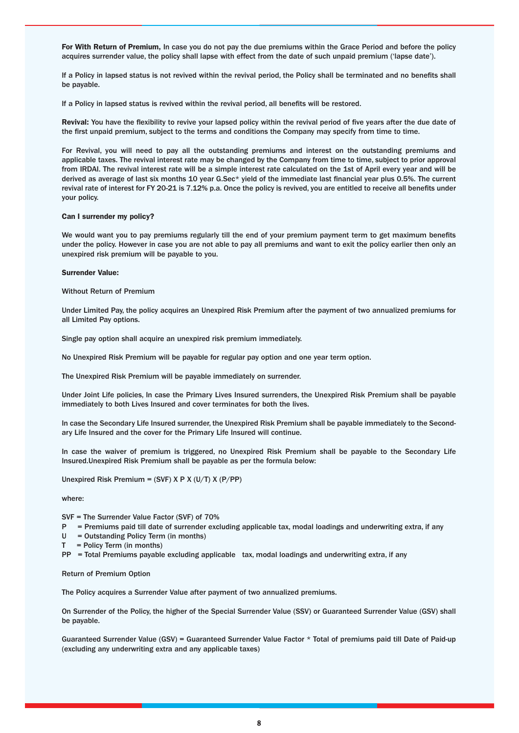For With Return of Premium, In case you do not pay the due premiums within the Grace Period and before the policy acquires surrender value, the policy shall lapse with effect from the date of such unpaid premium ('lapse date').

If a Policy in lapsed status is not revived within the revival period, the Policy shall be terminated and no benefits shall be payable.

If a Policy in lapsed status is revived within the revival period, all benefits will be restored.

Revival: You have the flexibility to revive your lapsed policy within the revival period of five years after the due date of the first unpaid premium, subject to the terms and conditions the Company may specify from time to time.

For Revival, you will need to pay all the outstanding premiums and interest on the outstanding premiums and applicable taxes. The revival interest rate may be changed by the Company from time to time, subject to prior approval from IRDAI. The revival interest rate will be a simple interest rate calculated on the 1st of April every year and will be derived as average of last six months 10 year G.Sec\* yield of the immediate last financial year plus 0.5%. The current revival rate of interest for FY 20-21 is 7.12% p.a. Once the policy is revived, you are entitled to receive all benefits under your policy.

#### Can I surrender my policy?

We would want you to pay premiums regularly till the end of your premium payment term to get maximum benefits under the policy. However in case you are not able to pay all premiums and want to exit the policy earlier then only an unexpired risk premium will be payable to you.

#### Surrender Value:

Without Return of Premium

Under Limited Pay, the policy acquires an Unexpired Risk Premium after the payment of two annualized premiums for all Limited Pay options.

Single pay option shall acquire an unexpired risk premium immediately.

No Unexpired Risk Premium will be payable for regular pay option and one year term option.

The Unexpired Risk Premium will be payable immediately on surrender.

Under Joint Life policies, In case the Primary Lives Insured surrenders, the Unexpired Risk Premium shall be payable immediately to both Lives Insured and cover terminates for both the lives.

In case the Secondary Life Insured surrender, the Unexpired Risk Premium shall be payable immediately to the Secondary Life Insured and the cover for the Primary Life Insured will continue.

In case the waiver of premium is triggered, no Unexpired Risk Premium shall be payable to the Secondary Life Insured.Unexpired Risk Premium shall be payable as per the formula below:

Unexpired Risk Premium = (SVF) X P X (U/T) X (P/PP)

where:

SVF = The Surrender Value Factor (SVF) of 70%

- P = Premiums paid till date of surrender excluding applicable tax, modal loadings and underwriting extra, if any
- U = Outstanding Policy Term (in months)
- $T =$  Policy Term (in months)
- $PP = Total Premiums$  payable excluding applicable tax, modal loadings and underwriting extra, if any

Return of Premium Option

The Policy acquires a Surrender Value after payment of two annualized premiums.

On Surrender of the Policy, the higher of the Special Surrender Value (SSV) or Guaranteed Surrender Value (GSV) shall be payable.

Guaranteed Surrender Value (GSV) = Guaranteed Surrender Value Factor \* Total of premiums paid till Date of Paid-up (excluding any underwriting extra and any applicable taxes)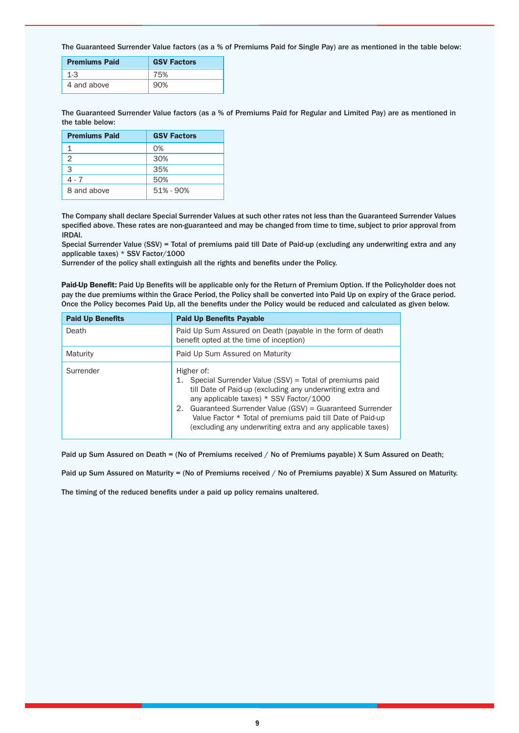The Guaranteed Surrender Value factors (as a % of Premiums Paid for Single Pay) are as mentioned in the table below:

| <b>Premiums Paid</b> | <b>GSV Factors</b> |
|----------------------|--------------------|
| $1 - 3$              | 75%                |
| 4 and above          | 90%                |

The Guaranteed Surrender Value factors (as a % of Premiums Paid for Regular and Limited Pay) are as mentioned in the table below:

| <b>Premiums Paid</b> | <b>GSV Factors</b> |
|----------------------|--------------------|
|                      | O%                 |
| 2                    | 30%                |
| 3                    | 35%                |
| 4 - 7                | 50%                |
| 8 and above          | $51\% - 90\%$      |

The Company shall declare Special Surrender Values at such other rates not less than the Guaranteed Surrender Values specified above. These rates are non-guaranteed and may be changed from time to time, subject to prior approval from IRDAI.

Special Surrender Value (SSV) = Total of premiums paid till Date of Paid-up (excluding any underwriting extra and any applicable taxes) \* SSV Factor/1000

Surrender of the policy shall extinguish all the rights and benefits under the Policy.

Paid-Up Benefit: Paid Up Benefits will be applicable only for the Return of Premium Option. If the Policyholder does not pay the due premiums within the Grace Period, the Policy shall be converted into Paid Up on expiry of the Grace period. Once the Policy becomes Paid Up, all the benefits under the Policy would be reduced and calculated as given below.

| <b>Paid Up Benefits</b> | <b>Paid Up Benefits Payable</b>                                                                                                                                                                                                                                                                                                                                                   |  |
|-------------------------|-----------------------------------------------------------------------------------------------------------------------------------------------------------------------------------------------------------------------------------------------------------------------------------------------------------------------------------------------------------------------------------|--|
| Death                   | Paid Up Sum Assured on Death (payable in the form of death<br>benefit opted at the time of inception)                                                                                                                                                                                                                                                                             |  |
| Maturity                | Paid Up Sum Assured on Maturity                                                                                                                                                                                                                                                                                                                                                   |  |
| Surrender               | Higher of:<br>Special Surrender Value (SSV) = Total of premiums paid<br>1.<br>till Date of Paid-up (excluding any underwriting extra and<br>any applicable taxes) * SSV Factor/1000<br>Guaranteed Surrender Value (GSV) = Guaranteed Surrender<br>2.<br>Value Factor * Total of premiums paid till Date of Paid-up<br>(excluding any underwriting extra and any applicable taxes) |  |

Paid up Sum Assured on Death = (No of Premiums received / No of Premiums payable) X Sum Assured on Death;

Paid up Sum Assured on Maturity = (No of Premiums received / No of Premiums payable) X Sum Assured on Maturity.

The timing of the reduced benefits under a paid up policy remains unaltered.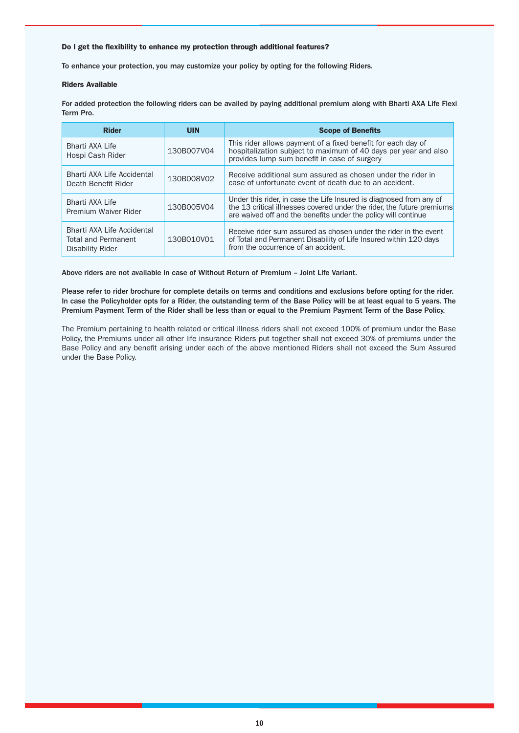### Do I get the flexibility to enhance my protection through additional features?

To enhance your protection, you may customize your policy by opting for the following Riders.

#### Riders Available

For added protection the following riders can be availed by paying additional premium along with Bharti AXA Life Flexi Term Pro.

| <b>Rider</b>                                                                 | <b>UIN</b> | <b>Scope of Benefits</b>                                                                                                                                                                                        |
|------------------------------------------------------------------------------|------------|-----------------------------------------------------------------------------------------------------------------------------------------------------------------------------------------------------------------|
| Bharti AXA Life<br>Hospi Cash Rider                                          | 130B007V04 | This rider allows payment of a fixed benefit for each day of<br>hospitalization subject to maximum of 40 days per year and also<br>provides lump sum benefit in case of surgery                                 |
| Bharti AXA Life Accidental<br>Death Benefit Rider                            | 130B008V02 | Receive additional sum assured as chosen under the rider in<br>case of unfortunate event of death due to an accident.                                                                                           |
| Bharti AXA Life<br>Premium Waiver Rider                                      | 130B005V04 | Under this rider, in case the Life Insured is diagnosed from any of<br>the 13 critical illnesses covered under the rider, the future premiums<br>are waived off and the benefits under the policy will continue |
| Bharti AXA Life Accidental<br><b>Total and Permanent</b><br>Disability Rider | 130B010V01 | Receive rider sum assured as chosen under the rider in the event<br>of Total and Permanent Disability of Life Insured within 120 days<br>from the occurrence of an accident.                                    |

Above riders are not available in case of Without Return of Premium – Joint Life Variant.

Please refer to rider brochure for complete details on terms and conditions and exclusions before opting for the rider. In case the Policyholder opts for a Rider, the outstanding term of the Base Policy will be at least equal to 5 years. The Premium Payment Term of the Rider shall be less than or equal to the Premium Payment Term of the Base Policy.

The Premium pertaining to health related or critical illness riders shall not exceed 100% of premium under the Base Policy, the Premiums under all other life insurance Riders put together shall not exceed 30% of premiums under the Base Policy and any benefit arising under each of the above mentioned Riders shall not exceed the Sum Assured under the Base Policy.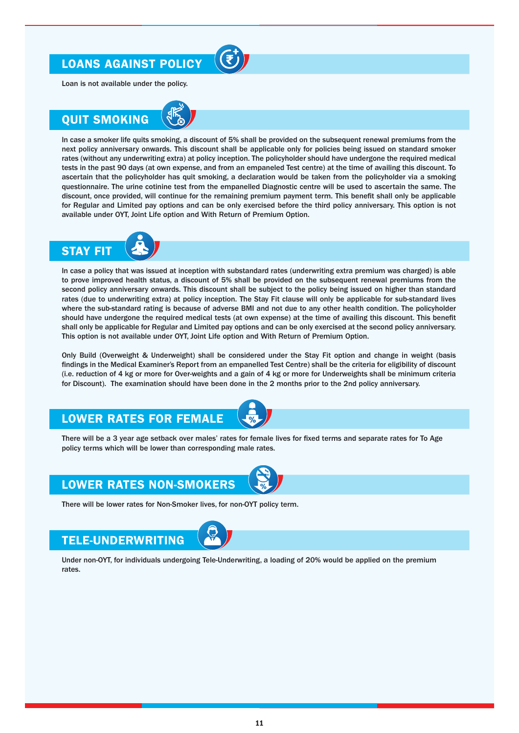# LOANS AGAINST POLICY



Loan is not available under the policy.

# QUIT SMOKING



In case a smoker life quits smoking, a discount of 5% shall be provided on the subsequent renewal premiums from the next policy anniversary onwards. This discount shall be applicable only for policies being issued on standard smoker rates (without any underwriting extra) at policy inception. The policyholder should have undergone the required medical tests in the past 90 days (at own expense, and from an empaneled Test centre) at the time of availing this discount. To ascertain that the policyholder has quit smoking, a declaration would be taken from the policyholder via a smoking questionnaire. The urine cotinine test from the empanelled Diagnostic centre will be used to ascertain the same. The discount, once provided, will continue for the remaining premium payment term. This benefit shall only be applicable for Regular and Limited pay options and can be only exercised before the third policy anniversary. This option is not available under OYT, Joint Life option and With Return of Premium Option.



In case a policy that was issued at inception with substandard rates (underwriting extra premium was charged) is able to prove improved health status, a discount of 5% shall be provided on the subsequent renewal premiums from the second policy anniversary onwards. This discount shall be subject to the policy being issued on higher than standard rates (due to underwriting extra) at policy inception. The Stay Fit clause will only be applicable for sub-standard lives where the sub-standard rating is because of adverse BMI and not due to any other health condition. The policyholder should have undergone the required medical tests (at own expense) at the time of availing this discount. This benefit shall only be applicable for Regular and Limited pay options and can be only exercised at the second policy anniversary. This option is not available under OYT, Joint Life option and With Return of Premium Option.

Only Build (Overweight & Underweight) shall be considered under the Stay Fit option and change in weight (basis findings in the Medical Examiner's Report from an empanelled Test Centre) shall be the criteria for eligibility of discount (i.e. reduction of 4 kg or more for Over-weights and a gain of 4 kg or more for Underweights shall be minimum criteria for Discount). The examination should have been done in the 2 months prior to the 2nd policy anniversary.

### LOWER RATES FOR FEMALE



There will be a 3 year age setback over males' rates for female lives for fixed terms and separate rates for To Age policy terms which will be lower than corresponding male rates.

# LOWER RATES NON-SMOKERS

There will be lower rates for Non-Smoker lives, for non-OYT policy term.

### TELE-UNDERWRITING



Under non-OYT, for individuals undergoing Tele-Underwriting, a loading of 20% would be applied on the premium rates.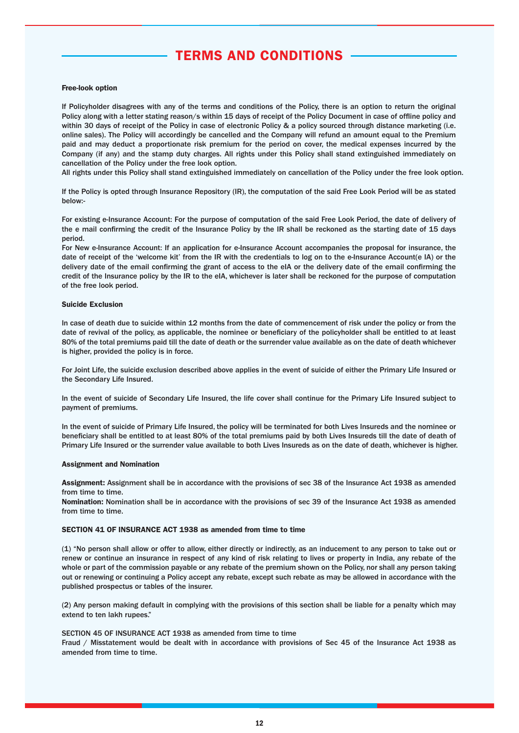# TERMS AND CONDITIONS

### Free-look option

If Policyholder disagrees with any of the terms and conditions of the Policy, there is an option to return the original Policy along with a letter stating reason/s within 15 days of receipt of the Policy Document in case of offline policy and within 30 days of receipt of the Policy in case of electronic Policy & a policy sourced through distance marketing (i.e. online sales). The Policy will accordingly be cancelled and the Company will refund an amount equal to the Premium paid and may deduct a proportionate risk premium for the period on cover, the medical expenses incurred by the Company (if any) and the stamp duty charges. All rights under this Policy shall stand extinguished immediately on cancellation of the Policy under the free look option.

All rights under this Policy shall stand extinguished immediately on cancellation of the Policy under the free look option.

If the Policy is opted through Insurance Repository (IR), the computation of the said Free Look Period will be as stated below:-

For existing e-Insurance Account: For the purpose of computation of the said Free Look Period, the date of delivery of the e mail confirming the credit of the Insurance Policy by the IR shall be reckoned as the starting date of 15 days period.

For New e-Insurance Account: If an application for e-Insurance Account accompanies the proposal for insurance, the date of receipt of the 'welcome kit' from the IR with the credentials to log on to the e-Insurance Account(e IA) or the delivery date of the email confirming the grant of access to the eIA or the delivery date of the email confirming the credit of the Insurance policy by the IR to the eIA, whichever is later shall be reckoned for the purpose of computation of the free look period.

#### Suicide Exclusion

In case of death due to suicide within 12 months from the date of commencement of risk under the policy or from the date of revival of the policy, as applicable, the nominee or beneficiary of the policyholder shall be entitled to at least 80% of the total premiums paid till the date of death or the surrender value available as on the date of death whichever is higher, provided the policy is in force.

For Joint Life, the suicide exclusion described above applies in the event of suicide of either the Primary Life Insured or the Secondary Life Insured.

In the event of suicide of Secondary Life Insured, the life cover shall continue for the Primary Life Insured subject to payment of premiums.

In the event of suicide of Primary Life Insured, the policy will be terminated for both Lives Insureds and the nominee or beneficiary shall be entitled to at least 80% of the total premiums paid by both Lives Insureds till the date of death of Primary Life Insured or the surrender value available to both Lives Insureds as on the date of death, whichever is higher.

### Assignment and Nomination

Assignment: Assignment shall be in accordance with the provisions of sec 38 of the Insurance Act 1938 as amended from time to time.

Nomination: Nomination shall be in accordance with the provisions of sec 39 of the Insurance Act 1938 as amended from time to time.

### SECTION 41 OF INSURANCE ACT 1938 as amended from time to time

(1) "No person shall allow or offer to allow, either directly or indirectly, as an inducement to any person to take out or renew or continue an insurance in respect of any kind of risk relating to lives or property in India, any rebate of the whole or part of the commission payable or any rebate of the premium shown on the Policy, nor shall any person taking out or renewing or continuing a Policy accept any rebate, except such rebate as may be allowed in accordance with the published prospectus or tables of the insurer.

(2) Any person making default in complying with the provisions of this section shall be liable for a penalty which may extend to ten lakh rupees."

### SECTION 45 OF INSURANCE ACT 1938 as amended from time to time

Fraud / Misstatement would be dealt with in accordance with provisions of Sec 45 of the Insurance Act 1938 as amended from time to time.